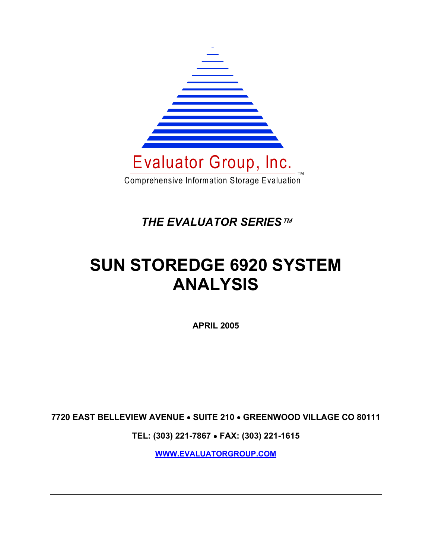

*THE EVALUATOR SERIES*

# **SUN STOREDGE 6920 SYSTEM ANALYSIS**

**APRIL 2005** 

**7720 EAST BELLEVIEW AVENUE** • **SUITE 210** • **GREENWOOD VILLAGE CO 80111** 

**TEL: (303) 221-7867** • **FAX: (303) 221-1615** 

**WWW.EVALUATORGROUP.COM**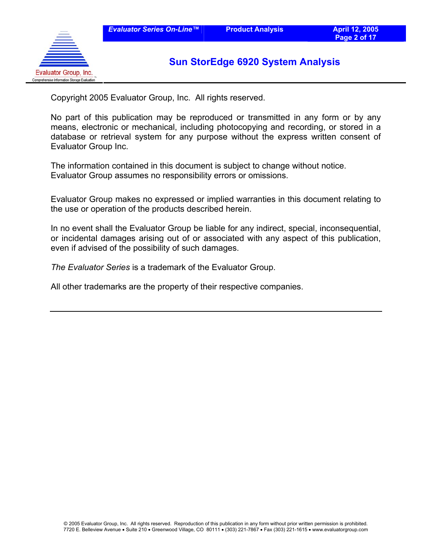

Copyright 2005 Evaluator Group, Inc. All rights reserved.

No part of this publication may be reproduced or transmitted in any form or by any means, electronic or mechanical, including photocopying and recording, or stored in a database or retrieval system for any purpose without the express written consent of Evaluator Group Inc.

The information contained in this document is subject to change without notice. Evaluator Group assumes no responsibility errors or omissions.

Evaluator Group makes no expressed or implied warranties in this document relating to the use or operation of the products described herein.

In no event shall the Evaluator Group be liable for any indirect, special, inconsequential, or incidental damages arising out of or associated with any aspect of this publication, even if advised of the possibility of such damages.

*The Evaluator Series* is a trademark of the Evaluator Group.

All other trademarks are the property of their respective companies.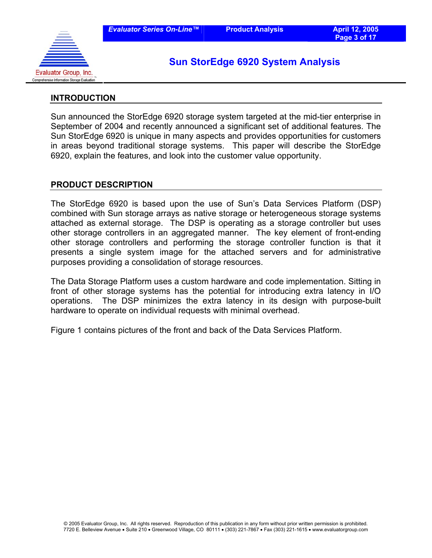

#### **INTRODUCTION**

Sun announced the StorEdge 6920 storage system targeted at the mid-tier enterprise in September of 2004 and recently announced a significant set of additional features. The Sun StorEdge 6920 is unique in many aspects and provides opportunities for customers in areas beyond traditional storage systems. This paper will describe the StorEdge 6920, explain the features, and look into the customer value opportunity.

#### **PRODUCT DESCRIPTION**

The StorEdge 6920 is based upon the use of Sun's Data Services Platform (DSP) combined with Sun storage arrays as native storage or heterogeneous storage systems attached as external storage. The DSP is operating as a storage controller but uses other storage controllers in an aggregated manner. The key element of front-ending other storage controllers and performing the storage controller function is that it presents a single system image for the attached servers and for administrative purposes providing a consolidation of storage resources.

The Data Storage Platform uses a custom hardware and code implementation. Sitting in front of other storage systems has the potential for introducing extra latency in I/O operations. The DSP minimizes the extra latency in its design with purpose-built hardware to operate on individual requests with minimal overhead.

Figure 1 contains pictures of the front and back of the Data Services Platform.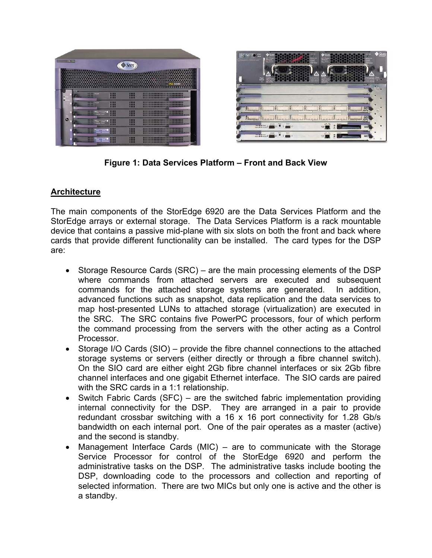



**Figure 1: Data Services Platform – Front and Back View** 

## **Architecture**

The main components of the StorEdge 6920 are the Data Services Platform and the StorEdge arrays or external storage. The Data Services Platform is a rack mountable device that contains a passive mid-plane with six slots on both the front and back where cards that provide different functionality can be installed. The card types for the DSP are:

- Storage Resource Cards (SRC) are the main processing elements of the DSP where commands from attached servers are executed and subsequent commands for the attached storage systems are generated. In addition, advanced functions such as snapshot, data replication and the data services to map host-presented LUNs to attached storage (virtualization) are executed in the SRC. The SRC contains five PowerPC processors, four of which perform the command processing from the servers with the other acting as a Control Processor.
- Storage I/O Cards (SIO) provide the fibre channel connections to the attached storage systems or servers (either directly or through a fibre channel switch). On the SIO card are either eight 2Gb fibre channel interfaces or six 2Gb fibre channel interfaces and one gigabit Ethernet interface. The SIO cards are paired with the SRC cards in a 1:1 relationship.
- Switch Fabric Cards (SFC) are the switched fabric implementation providing internal connectivity for the DSP. They are arranged in a pair to provide redundant crossbar switching with a 16 x 16 port connectivity for 1.28 Gb/s bandwidth on each internal port. One of the pair operates as a master (active) and the second is standby.
- Management Interface Cards (MIC) are to communicate with the Storage Service Processor for control of the StorEdge 6920 and perform the administrative tasks on the DSP. The administrative tasks include booting the DSP, downloading code to the processors and collection and reporting of selected information. There are two MICs but only one is active and the other is a standby.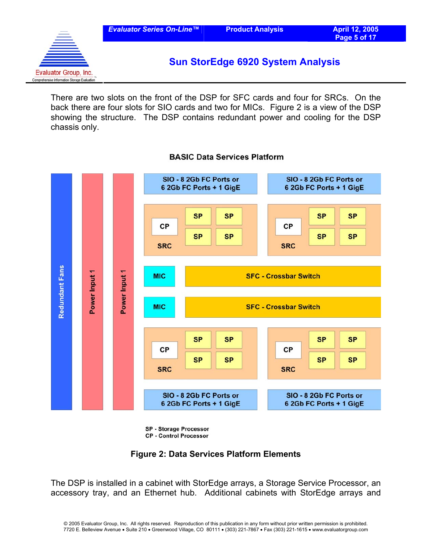

There are two slots on the front of the DSP for SFC cards and four for SRCs. On the back there are four slots for SIO cards and two for MICs. Figure 2 is a view of the DSP showing the structure. The DSP contains redundant power and cooling for the DSP chassis only.



#### **BASIC Data Services Platform**

**SP - Storage Processor CP - Control Processor** 

#### **Figure 2: Data Services Platform Elements**

The DSP is installed in a cabinet with StorEdge arrays, a Storage Service Processor, an accessory tray, and an Ethernet hub. Additional cabinets with StorEdge arrays and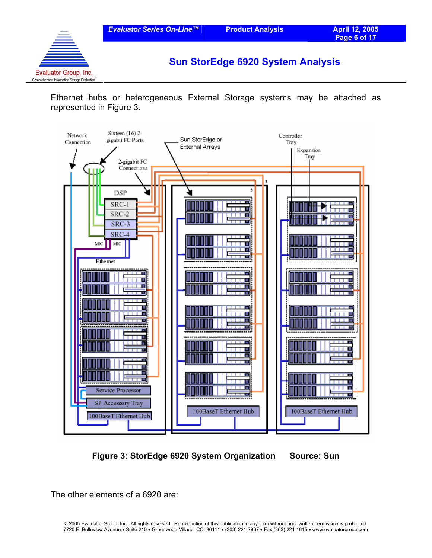

Ethernet hubs or heterogeneous External Storage systems may be attached as represented in Figure 3.



**Figure 3: StorEdge 6920 System Organization Source: Sun** 

The other elements of a 6920 are: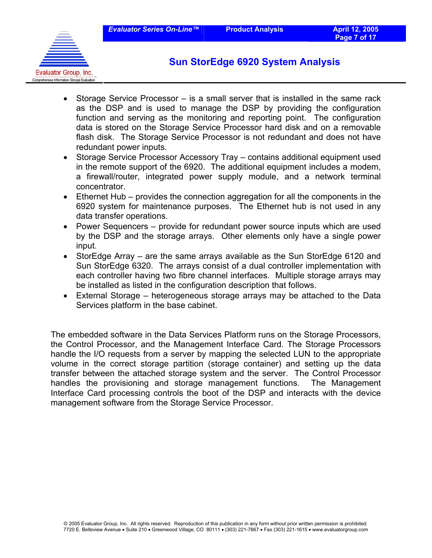

- Storage Service Processor is a small server that is installed in the same rack as the DSP and is used to manage the DSP by providing the configuration function and serving as the monitoring and reporting point. The configuration data is stored on the Storage Service Processor hard disk and on a removable flash disk. The Storage Service Processor is not redundant and does not have redundant power inputs.
- Storage Service Processor Accessory Tray contains additional equipment used in the remote support of the 6920. The additional equipment includes a modem, a firewall/router, integrated power supply module, and a network terminal concentrator.
- Ethernet Hub provides the connection aggregation for all the components in the 6920 system for maintenance purposes. The Ethernet hub is not used in any data transfer operations.
- Power Sequencers provide for redundant power source inputs which are used by the DSP and the storage arrays. Other elements only have a single power input.
- StorEdge Array are the same arrays available as the Sun StorEdge 6120 and Sun StorEdge 6320. The arrays consist of a dual controller implementation with each controller having two fibre channel interfaces. Multiple storage arrays may be installed as listed in the configuration description that follows.
- External Storage heterogeneous storage arrays may be attached to the Data Services platform in the base cabinet.

The embedded software in the Data Services Platform runs on the Storage Processors, the Control Processor, and the Management Interface Card. The Storage Processors handle the I/O requests from a server by mapping the selected LUN to the appropriate volume in the correct storage partition (storage container) and setting up the data transfer between the attached storage system and the server. The Control Processor handles the provisioning and storage management functions. The Management Interface Card processing controls the boot of the DSP and interacts with the device management software from the Storage Service Processor.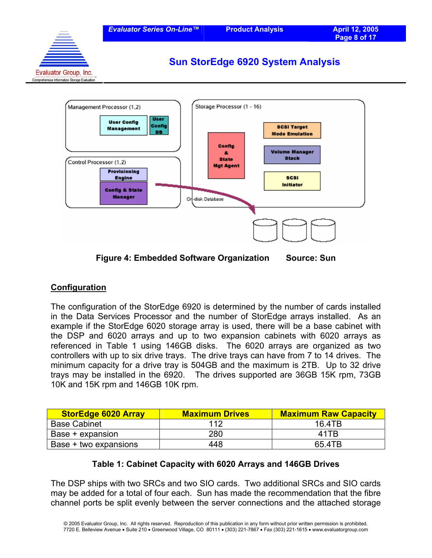



## **Configuration**

The configuration of the StorEdge 6920 is determined by the number of cards installed in the Data Services Processor and the number of StorEdge arrays installed. As an example if the StorEdge 6020 storage array is used, there will be a base cabinet with the DSP and 6020 arrays and up to two expansion cabinets with 6020 arrays as referenced in Table 1 using 146GB disks. The 6020 arrays are organized as two controllers with up to six drive trays. The drive trays can have from 7 to 14 drives. The minimum capacity for a drive tray is 504GB and the maximum is 2TB. Up to 32 drive trays may be installed in the 6920. The drives supported are 36GB 15K rpm, 73GB 10K and 15K rpm and 146GB 10K rpm.

| <b>StorEdge 6020 Array</b> | <b>Maximum Drives</b> | <b>Maximum Raw Capacity</b> |
|----------------------------|-----------------------|-----------------------------|
| <b>Base Cabinet</b>        | 112                   | 16.4TB                      |
| Base + expansion           | 280                   | 41TR                        |
| Base + two expansions      | 448                   | 65.4TB                      |

#### **Table 1: Cabinet Capacity with 6020 Arrays and 146GB Drives**

The DSP ships with two SRCs and two SIO cards. Two additional SRCs and SIO cards may be added for a total of four each. Sun has made the recommendation that the fibre channel ports be split evenly between the server connections and the attached storage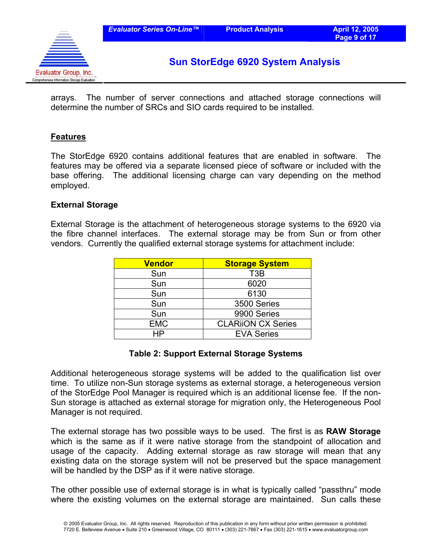![](_page_8_Picture_3.jpeg)

arrays. The number of server connections and attached storage connections will determine the number of SRCs and SIO cards required to be installed.

#### **Features**

The StorEdge 6920 contains additional features that are enabled in software. The features may be offered via a separate licensed piece of software or included with the base offering. The additional licensing charge can vary depending on the method employed.

#### **External Storage**

External Storage is the attachment of heterogeneous storage systems to the 6920 via the fibre channel interfaces. The external storage may be from Sun or from other vendors. Currently the qualified external storage systems for attachment include:

| <b>Vendor</b> | <b>Storage System</b>     |  |
|---------------|---------------------------|--|
| Sun           | T <sub>3</sub> B          |  |
| Sun           | 6020                      |  |
| Sun           | 6130                      |  |
| Sun           | 3500 Series               |  |
| Sun           | 9900 Series               |  |
| <b>EMC</b>    | <b>CLARIION CX Series</b> |  |
| HP            | <b>EVA Series</b>         |  |

#### **Table 2: Support External Storage Systems**

Additional heterogeneous storage systems will be added to the qualification list over time. To utilize non-Sun storage systems as external storage, a heterogeneous version of the StorEdge Pool Manager is required which is an additional license fee. If the non-Sun storage is attached as external storage for migration only, the Heterogeneous Pool Manager is not required.

The external storage has two possible ways to be used. The first is as **RAW Storage** which is the same as if it were native storage from the standpoint of allocation and usage of the capacity. Adding external storage as raw storage will mean that any existing data on the storage system will not be preserved but the space management will be handled by the DSP as if it were native storage.

The other possible use of external storage is in what is typically called "passthru" mode where the existing volumes on the external storage are maintained. Sun calls these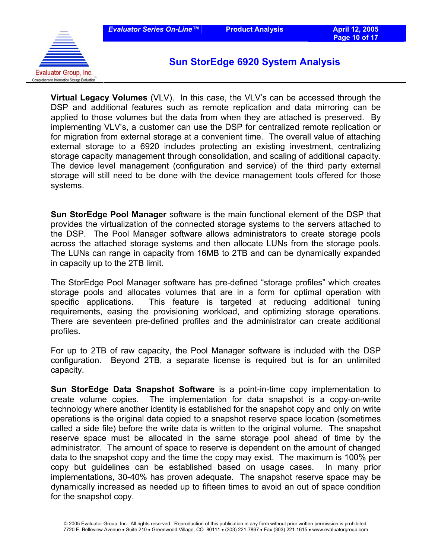![](_page_9_Picture_3.jpeg)

**Virtual Legacy Volumes** (VLV). In this case, the VLV's can be accessed through the DSP and additional features such as remote replication and data mirroring can be applied to those volumes but the data from when they are attached is preserved. By implementing VLV's, a customer can use the DSP for centralized remote replication or for migration from external storage at a convenient time. The overall value of attaching external storage to a 6920 includes protecting an existing investment, centralizing storage capacity management through consolidation, and scaling of additional capacity. The device level management (configuration and service) of the third party external storage will still need to be done with the device management tools offered for those systems.

**Sun StorEdge Pool Manager** software is the main functional element of the DSP that provides the virtualization of the connected storage systems to the servers attached to the DSP. The Pool Manager software allows administrators to create storage pools across the attached storage systems and then allocate LUNs from the storage pools. The LUNs can range in capacity from 16MB to 2TB and can be dynamically expanded in capacity up to the 2TB limit.

The StorEdge Pool Manager software has pre-defined "storage profiles" which creates storage pools and allocates volumes that are in a form for optimal operation with specific applications. This feature is targeted at reducing additional tuning requirements, easing the provisioning workload, and optimizing storage operations. There are seventeen pre-defined profiles and the administrator can create additional profiles.

For up to 2TB of raw capacity, the Pool Manager software is included with the DSP configuration. Beyond 2TB, a separate license is required but is for an unlimited capacity.

**Sun StorEdge Data Snapshot Software** is a point-in-time copy implementation to create volume copies. The implementation for data snapshot is a copy-on-write technology where another identity is established for the snapshot copy and only on write operations is the original data copied to a snapshot reserve space location (sometimes called a side file) before the write data is written to the original volume. The snapshot reserve space must be allocated in the same storage pool ahead of time by the administrator. The amount of space to reserve is dependent on the amount of changed data to the snapshot copy and the time the copy may exist. The maximum is 100% per copy but guidelines can be established based on usage cases. In many prior implementations, 30-40% has proven adequate. The snapshot reserve space may be dynamically increased as needed up to fifteen times to avoid an out of space condition for the snapshot copy.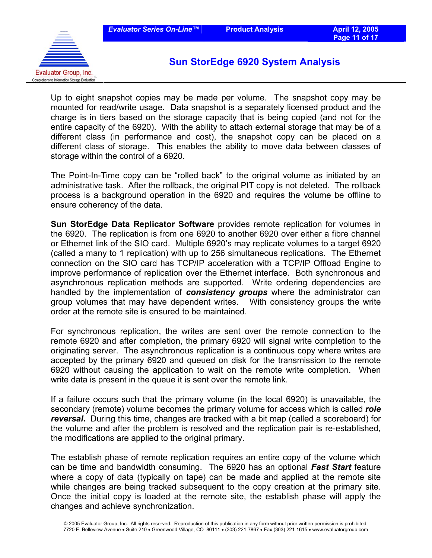![](_page_10_Picture_3.jpeg)

Up to eight snapshot copies may be made per volume. The snapshot copy may be mounted for read/write usage. Data snapshot is a separately licensed product and the charge is in tiers based on the storage capacity that is being copied (and not for the entire capacity of the 6920). With the ability to attach external storage that may be of a different class (in performance and cost), the snapshot copy can be placed on a different class of storage. This enables the ability to move data between classes of storage within the control of a 6920.

The Point-In-Time copy can be "rolled back" to the original volume as initiated by an administrative task. After the rollback, the original PIT copy is not deleted. The rollback process is a background operation in the 6920 and requires the volume be offline to ensure coherency of the data.

**Sun StorEdge Data Replicator Software** provides remote replication for volumes in the 6920. The replication is from one 6920 to another 6920 over either a fibre channel or Ethernet link of the SIO card. Multiple 6920's may replicate volumes to a target 6920 (called a many to 1 replication) with up to 256 simultaneous replications. The Ethernet connection on the SIO card has TCP/IP acceleration with a TCP/IP Offload Engine to improve performance of replication over the Ethernet interface. Both synchronous and asynchronous replication methods are supported. Write ordering dependencies are handled by the implementation of *consistency groups* where the administrator can group volumes that may have dependent writes. With consistency groups the write order at the remote site is ensured to be maintained.

For synchronous replication, the writes are sent over the remote connection to the remote 6920 and after completion, the primary 6920 will signal write completion to the originating server. The asynchronous replication is a continuous copy where writes are accepted by the primary 6920 and queued on disk for the transmission to the remote 6920 without causing the application to wait on the remote write completion. When write data is present in the queue it is sent over the remote link.

If a failure occurs such that the primary volume (in the local 6920) is unavailable, the secondary (remote) volume becomes the primary volume for access which is called *role reversal***.** During this time, changes are tracked with a bit map (called a scoreboard) for the volume and after the problem is resolved and the replication pair is re-established, the modifications are applied to the original primary.

The establish phase of remote replication requires an entire copy of the volume which can be time and bandwidth consuming. The 6920 has an optional *Fast Start* feature where a copy of data (typically on tape) can be made and applied at the remote site while changes are being tracked subsequent to the copy creation at the primary site. Once the initial copy is loaded at the remote site, the establish phase will apply the changes and achieve synchronization.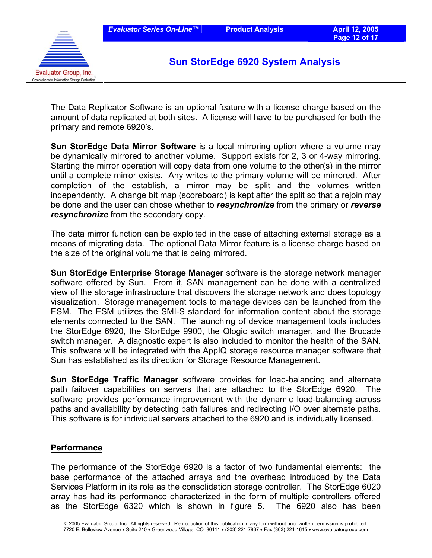![](_page_11_Picture_3.jpeg)

The Data Replicator Software is an optional feature with a license charge based on the amount of data replicated at both sites. A license will have to be purchased for both the primary and remote 6920's.

**Sun StorEdge Data Mirror Software** is a local mirroring option where a volume may be dynamically mirrored to another volume. Support exists for 2, 3 or 4-way mirroring. Starting the mirror operation will copy data from one volume to the other(s) in the mirror until a complete mirror exists. Any writes to the primary volume will be mirrored. After completion of the establish, a mirror may be split and the volumes written independently. A change bit map (scoreboard) is kept after the split so that a rejoin may be done and the user can chose whether to *resynchronize* from the primary or *reverse resynchronize* from the secondary copy.

The data mirror function can be exploited in the case of attaching external storage as a means of migrating data. The optional Data Mirror feature is a license charge based on the size of the original volume that is being mirrored.

**Sun StorEdge Enterprise Storage Manager** software is the storage network manager software offered by Sun. From it, SAN management can be done with a centralized view of the storage infrastructure that discovers the storage network and does topology visualization. Storage management tools to manage devices can be launched from the ESM. The ESM utilizes the SMI-S standard for information content about the storage elements connected to the SAN. The launching of device management tools includes the StorEdge 6920, the StorEdge 9900, the Qlogic switch manager, and the Brocade switch manager. A diagnostic expert is also included to monitor the health of the SAN. This software will be integrated with the AppIQ storage resource manager software that Sun has established as its direction for Storage Resource Management.

**Sun StorEdge Traffic Manager** software provides for load-balancing and alternate path failover capabilities on servers that are attached to the StorEdge 6920. The software provides performance improvement with the dynamic load-balancing across paths and availability by detecting path failures and redirecting I/O over alternate paths. This software is for individual servers attached to the 6920 and is individually licensed.

#### **Performance**

The performance of the StorEdge 6920 is a factor of two fundamental elements: the base performance of the attached arrays and the overhead introduced by the Data Services Platform in its role as the consolidation storage controller. The StorEdge 6020 array has had its performance characterized in the form of multiple controllers offered as the StorEdge 6320 which is shown in figure 5. The 6920 also has been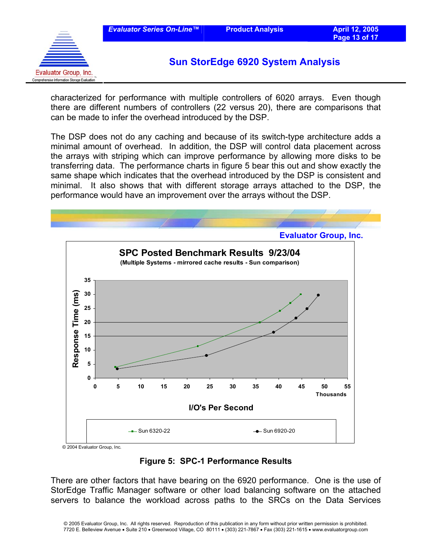![](_page_12_Picture_3.jpeg)

characterized for performance with multiple controllers of 6020 arrays. Even though there are different numbers of controllers (22 versus 20), there are comparisons that can be made to infer the overhead introduced by the DSP.

The DSP does not do any caching and because of its switch-type architecture adds a minimal amount of overhead. In addition, the DSP will control data placement across the arrays with striping which can improve performance by allowing more disks to be transferring data. The performance charts in figure 5 bear this out and show exactly the same shape which indicates that the overhead introduced by the DSP is consistent and minimal. It also shows that with different storage arrays attached to the DSP, the performance would have an improvement over the arrays without the DSP.

![](_page_12_Figure_7.jpeg)

© 2004 Evaluator Group, Inc.

## **Figure 5: SPC-1 Performance Results**

There are other factors that have bearing on the 6920 performance. One is the use of StorEdge Traffic Manager software or other load balancing software on the attached servers to balance the workload across paths to the SRCs on the Data Services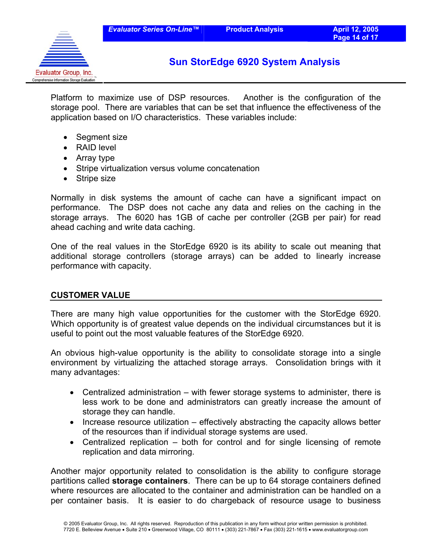![](_page_13_Picture_3.jpeg)

Platform to maximize use of DSP resources. Another is the configuration of the storage pool. There are variables that can be set that influence the effectiveness of the application based on I/O characteristics. These variables include:

- Segment size
- RAID level
- Array type
- Stripe virtualization versus volume concatenation
- Stripe size

Normally in disk systems the amount of cache can have a significant impact on performance. The DSP does not cache any data and relies on the caching in the storage arrays. The 6020 has 1GB of cache per controller (2GB per pair) for read ahead caching and write data caching.

One of the real values in the StorEdge 6920 is its ability to scale out meaning that additional storage controllers (storage arrays) can be added to linearly increase performance with capacity.

#### **CUSTOMER VALUE**

There are many high value opportunities for the customer with the StorEdge 6920. Which opportunity is of greatest value depends on the individual circumstances but it is useful to point out the most valuable features of the StorEdge 6920.

An obvious high-value opportunity is the ability to consolidate storage into a single environment by virtualizing the attached storage arrays. Consolidation brings with it many advantages:

- Centralized administration with fewer storage systems to administer, there is less work to be done and administrators can greatly increase the amount of storage they can handle.
- Increase resource utilization effectively abstracting the capacity allows better of the resources than if individual storage systems are used.
- Centralized replication both for control and for single licensing of remote replication and data mirroring.

Another major opportunity related to consolidation is the ability to configure storage partitions called **storage containers**. There can be up to 64 storage containers defined where resources are allocated to the container and administration can be handled on a per container basis. It is easier to do chargeback of resource usage to business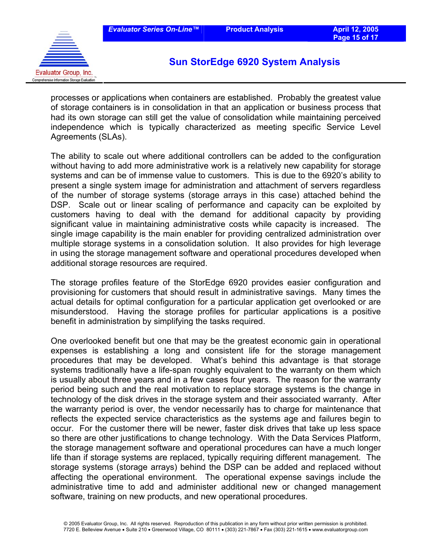![](_page_14_Picture_3.jpeg)

processes or applications when containers are established. Probably the greatest value of storage containers is in consolidation in that an application or business process that had its own storage can still get the value of consolidation while maintaining perceived independence which is typically characterized as meeting specific Service Level Agreements (SLAs).

The ability to scale out where additional controllers can be added to the configuration without having to add more administrative work is a relatively new capability for storage systems and can be of immense value to customers. This is due to the 6920's ability to present a single system image for administration and attachment of servers regardless of the number of storage systems (storage arrays in this case) attached behind the DSP. Scale out or linear scaling of performance and capacity can be exploited by customers having to deal with the demand for additional capacity by providing significant value in maintaining administrative costs while capacity is increased. The single image capability is the main enabler for providing centralized administration over multiple storage systems in a consolidation solution. It also provides for high leverage in using the storage management software and operational procedures developed when additional storage resources are required.

The storage profiles feature of the StorEdge 6920 provides easier configuration and provisioning for customers that should result in administrative savings. Many times the actual details for optimal configuration for a particular application get overlooked or are misunderstood. Having the storage profiles for particular applications is a positive benefit in administration by simplifying the tasks required.

One overlooked benefit but one that may be the greatest economic gain in operational expenses is establishing a long and consistent life for the storage management procedures that may be developed. What's behind this advantage is that storage systems traditionally have a life-span roughly equivalent to the warranty on them which is usually about three years and in a few cases four years. The reason for the warranty period being such and the real motivation to replace storage systems is the change in technology of the disk drives in the storage system and their associated warranty. After the warranty period is over, the vendor necessarily has to charge for maintenance that reflects the expected service characteristics as the systems age and failures begin to occur. For the customer there will be newer, faster disk drives that take up less space so there are other justifications to change technology. With the Data Services Platform, the storage management software and operational procedures can have a much longer life than if storage systems are replaced, typically requiring different management. The storage systems (storage arrays) behind the DSP can be added and replaced without affecting the operational environment. The operational expense savings include the administrative time to add and administer additional new or changed management software, training on new products, and new operational procedures.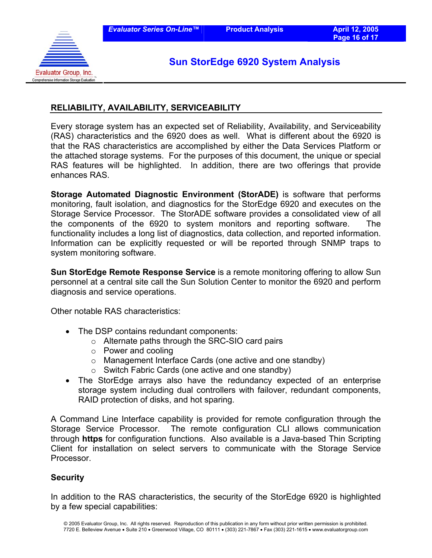![](_page_15_Picture_3.jpeg)

## **RELIABILITY, AVAILABILITY, SERVICEABILITY**

Every storage system has an expected set of Reliability, Availability, and Serviceability (RAS) characteristics and the 6920 does as well. What is different about the 6920 is that the RAS characteristics are accomplished by either the Data Services Platform or the attached storage systems. For the purposes of this document, the unique or special RAS features will be highlighted. In addition, there are two offerings that provide enhances RAS.

**Storage Automated Diagnostic Environment (StorADE)** is software that performs monitoring, fault isolation, and diagnostics for the StorEdge 6920 and executes on the Storage Service Processor. The StorADE software provides a consolidated view of all the components of the 6920 to system monitors and reporting software. The functionality includes a long list of diagnostics, data collection, and reported information. Information can be explicitly requested or will be reported through SNMP traps to system monitoring software.

**Sun StorEdge Remote Response Service** is a remote monitoring offering to allow Sun personnel at a central site call the Sun Solution Center to monitor the 6920 and perform diagnosis and service operations.

Other notable RAS characteristics:

- The DSP contains redundant components:
	- o Alternate paths through the SRC-SIO card pairs
	- o Power and cooling
	- o Management Interface Cards (one active and one standby)
	- o Switch Fabric Cards (one active and one standby)
- The StorEdge arrays also have the redundancy expected of an enterprise storage system including dual controllers with failover, redundant components, RAID protection of disks, and hot sparing.

A Command Line Interface capability is provided for remote configuration through the Storage Service Processor. The remote configuration CLI allows communication through **https** for configuration functions. Also available is a Java-based Thin Scripting Client for installation on select servers to communicate with the Storage Service **Processor** 

#### **Security**

In addition to the RAS characteristics, the security of the StorEdge 6920 is highlighted by a few special capabilities: